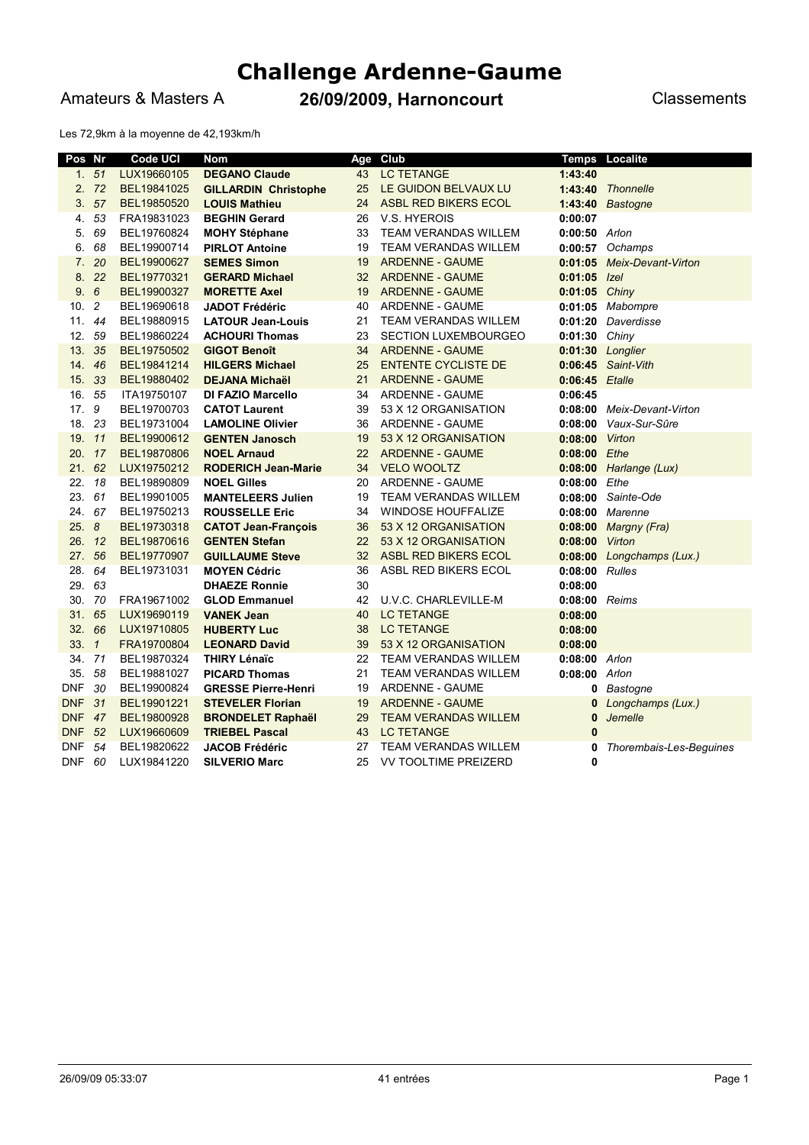# **Challenge Ardenne-Gaume**

## Amateurs & Masters A **26/09/2009, Harnoncourt** Classements

Les 72,9km à la moyenne de 42,193km/h

| Pos Nr     |       | <b>Code UCI</b> | <b>Nom</b>                  |    | Age Club                    |                  | <b>Temps Localite</b>      |
|------------|-------|-----------------|-----------------------------|----|-----------------------------|------------------|----------------------------|
|            | 1.51  | LUX19660105     | <b>DEGANO Claude</b>        | 43 | <b>LC TETANGE</b>           | 1:43:40          |                            |
|            | 2.72  | BEL19841025     | <b>GILLARDIN Christophe</b> | 25 | LE GUIDON BELVAUX LU        | 1:43:40          | <b>Thonnelle</b>           |
|            | 3.57  | BEL19850520     | <b>LOUIS Mathieu</b>        | 24 | <b>ASBL RED BIKERS ECOL</b> | 1:43:40          | <b>Bastogne</b>            |
| 4.         | 53    | FRA19831023     | <b>BEGHIN Gerard</b>        | 26 | V.S. HYEROIS                | 0:00:07          |                            |
| 5.         | 69    | BEL19760824     | <b>MOHY Stéphane</b>        | 33 | <b>TEAM VERANDAS WILLEM</b> | $0:00:50$ Arlon  |                            |
|            | 6. 68 | BEL19900714     | <b>PIRLOT Antoine</b>       | 19 | <b>TEAM VERANDAS WILLEM</b> |                  | $0:00:57$ Ochamps          |
|            | 7.20  | BEL19900627     | <b>SEMES Simon</b>          | 19 | <b>ARDENNE - GAUME</b>      | 0:01:05          | Meix-Devant-Virton         |
|            | 8. 22 | BEL19770321     | <b>GERARD Michael</b>       | 32 | <b>ARDENNE - GAUME</b>      | $0:01:05$ /zel   |                            |
| 9.6        |       | BEL19900327     | <b>MORETTE Axel</b>         | 19 | <b>ARDENNE - GAUME</b>      | 0:01:05 Chiny    |                            |
| 10.2       |       | BEL19690618     | <b>JADOT Frédéric</b>       | 40 | ARDENNE - GAUME             |                  | 0:01:05 Mabompre           |
| 11.        | 44    | BEL19880915     | <b>LATOUR Jean-Louis</b>    | 21 | <b>TEAM VERANDAS WILLEM</b> | 0:01:20          | Daverdisse                 |
| 12.        | - 59  | BEL19860224     | <b>ACHOURI Thomas</b>       | 23 | <b>SECTION LUXEMBOURGEO</b> | $0:01:30$ Chiny  |                            |
| 13. 35     |       | BEL19750502     | <b>GIGOT Benoît</b>         | 34 | <b>ARDENNE - GAUME</b>      |                  | 0:01:30 Longlier           |
| 14. 46     |       | BEL19841214     | <b>HILGERS Michael</b>      | 25 | <b>ENTENTE CYCLISTE DE</b>  | 0:06:45          | Saint-Vith                 |
| 15. 33     |       | BEL19880402     | <b>DEJANA Michaël</b>       | 21 | <b>ARDENNE - GAUME</b>      | 0:06:45 Etalle   |                            |
| 16. 55     |       | ITA19750107     | DI FAZIO Marcello           | 34 | ARDENNE - GAUME             | 0:06:45          |                            |
| 17.9       |       | BEL19700703     | <b>CATOT Laurent</b>        | 39 | 53 X 12 ORGANISATION        |                  | 0:08:00 Meix-Devant-Virton |
| 18. 23     |       | BEL19731004     | <b>LAMOLINE Olivier</b>     | 36 | <b>ARDENNE - GAUME</b>      | 0:08:00          | Vaux-Sur-Sûre              |
| 19. 11     |       | BEL19900612     | <b>GENTEN Janosch</b>       | 19 | 53 X 12 ORGANISATION        | 0:08:00          | Virton                     |
| 20. 17     |       | BEL19870806     | <b>NOEL Arnaud</b>          | 22 | <b>ARDENNE - GAUME</b>      | 0:08:00 Ethe     |                            |
| 21. 62     |       | LUX19750212     | <b>RODERICH Jean-Marie</b>  | 34 | <b>VELO WOOLTZ</b>          |                  | $0:08:00$ Harlange (Lux)   |
| 22.        | 18    | BEL19890809     | <b>NOEL Gilles</b>          | 20 | ARDENNE - GAUME             | $0:08:00$ Ethe   |                            |
| 23. 61     |       | BEL19901005     | <b>MANTELEERS Julien</b>    | 19 | <b>TEAM VERANDAS WILLEM</b> | 0:08:00          | Sainte-Ode                 |
| 24. 67     |       | BEL19750213     | <b>ROUSSELLE Eric</b>       | 34 | <b>WINDOSE HOUFFALIZE</b>   |                  | 0:08:00 Marenne            |
| 25.8       |       | BEL19730318     | <b>CATOT Jean-François</b>  | 36 | 53 X 12 ORGANISATION        | 0:08:00          | Margny (Fra)               |
| 26. 12     |       | BEL19870616     | <b>GENTEN Stefan</b>        | 22 | 53 X 12 ORGANISATION        | 0:08:00          | Virton                     |
| 27. 56     |       | BEL19770907     | <b>GUILLAUME Steve</b>      | 32 | ASBL RED BIKERS ECOL        |                  | 0:08:00 Longchamps (Lux.)  |
| 28. 64     |       | BEL19731031     | <b>MOYEN Cédric</b>         | 36 | ASBL RED BIKERS ECOL        | $0:08:00$ Rulles |                            |
| 29. 63     |       |                 | <b>DHAEZE Ronnie</b>        | 30 |                             | 0:08:00          |                            |
| 30. 70     |       | FRA19671002     | <b>GLOD Emmanuel</b>        | 42 | U.V.C. CHARLEVILLE-M        | 0:08:00          | Reims                      |
| 31. 65     |       | LUX19690119     | <b>VANEK Jean</b>           | 40 | <b>LC TETANGE</b>           | 0:08:00          |                            |
| 32. 66     |       | LUX19710805     | <b>HUBERTY Luc</b>          | 38 | <b>LC TETANGE</b>           | 0:08:00          |                            |
| 33.7       |       | FRA19700804     | <b>LEONARD David</b>        | 39 | 53 X 12 ORGANISATION        | 0:08:00          |                            |
| 34. 71     |       | BEL19870324     | <b>THIRY Lénaïc</b>         | 22 | TEAM VERANDAS WILLEM        | 0:08:00          | Arlon                      |
| 35.        | 58    | BEL19881027     | <b>PICARD Thomas</b>        | 21 | <b>TEAM VERANDAS WILLEM</b> | $0:08:00$ Arlon  |                            |
| <b>DNF</b> | 30    | BEL19900824     | <b>GRESSE Pierre-Henri</b>  | 19 | ARDENNE - GAUME             | 0                | Bastogne                   |
| <b>DNF</b> | 31    | BEL19901221     | <b>STEVELER Florian</b>     | 19 | <b>ARDENNE - GAUME</b>      | $\mathbf{0}$     | Longchamps (Lux.)          |
| <b>DNF</b> | 47    | BEL19800928     | <b>BRONDELET Raphaël</b>    | 29 | <b>TEAM VERANDAS WILLEM</b> | $\mathbf{0}$     | Jemelle                    |
| <b>DNF</b> | 52    | LUX19660609     | <b>TRIEBEL Pascal</b>       | 43 | <b>LC TETANGE</b>           | $\mathbf{0}$     |                            |
| <b>DNF</b> | 54    | BEL19820622     | <b>JACOB Frédéric</b>       | 27 | <b>TEAM VERANDAS WILLEM</b> | 0                | Thorembais-Les-Beguines    |
| <b>DNF</b> | - 60  | LUX19841220     | <b>SILVERIO Marc</b>        | 25 | <b>VV TOOLTIME PREIZERD</b> | 0                |                            |